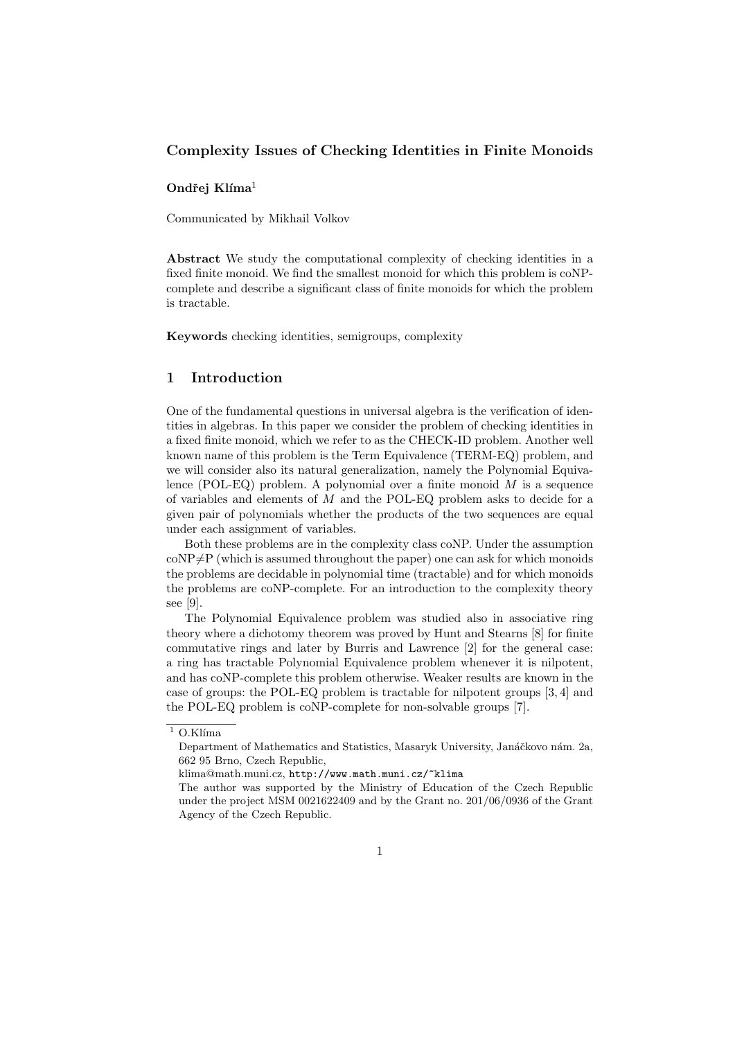## Complexity Issues of Checking Identities in Finite Monoids

#### Ondřej Klíma $<sup>1</sup>$ </sup>

Communicated by Mikhail Volkov

Abstract We study the computational complexity of checking identities in a fixed finite monoid. We find the smallest monoid for which this problem is coNPcomplete and describe a significant class of finite monoids for which the problem is tractable.

Keywords checking identities, semigroups, complexity

## 1 Introduction

One of the fundamental questions in universal algebra is the verification of identities in algebras. In this paper we consider the problem of checking identities in a fixed finite monoid, which we refer to as the CHECK-ID problem. Another well known name of this problem is the Term Equivalence (TERM-EQ) problem, and we will consider also its natural generalization, namely the Polynomial Equivalence (POL-EQ) problem. A polynomial over a finite monoid  $M$  is a sequence of variables and elements of M and the POL-EQ problem asks to decide for a given pair of polynomials whether the products of the two sequences are equal under each assignment of variables.

Both these problems are in the complexity class coNP. Under the assumption  $\text{coNP}\neq P$  (which is assumed throughout the paper) one can ask for which monoids the problems are decidable in polynomial time (tractable) and for which monoids the problems are coNP-complete. For an introduction to the complexity theory see [9].

The Polynomial Equivalence problem was studied also in associative ring theory where a dichotomy theorem was proved by Hunt and Stearns [8] for finite commutative rings and later by Burris and Lawrence [2] for the general case: a ring has tractable Polynomial Equivalence problem whenever it is nilpotent, and has coNP-complete this problem otherwise. Weaker results are known in the case of groups: the POL-EQ problem is tractable for nilpotent groups [3, 4] and the POL-EQ problem is coNP-complete for non-solvable groups [7].

 $\overline{1}$  O.Klíma

Department of Mathematics and Statistics, Masaryk University, Janáčkovo nám. 2a, 662 95 Brno, Czech Republic,

klima@math.muni.cz, http://www.math.muni.cz/~klima

The author was supported by the Ministry of Education of the Czech Republic under the project MSM 0021622409 and by the Grant no. 201/06/0936 of the Grant Agency of the Czech Republic.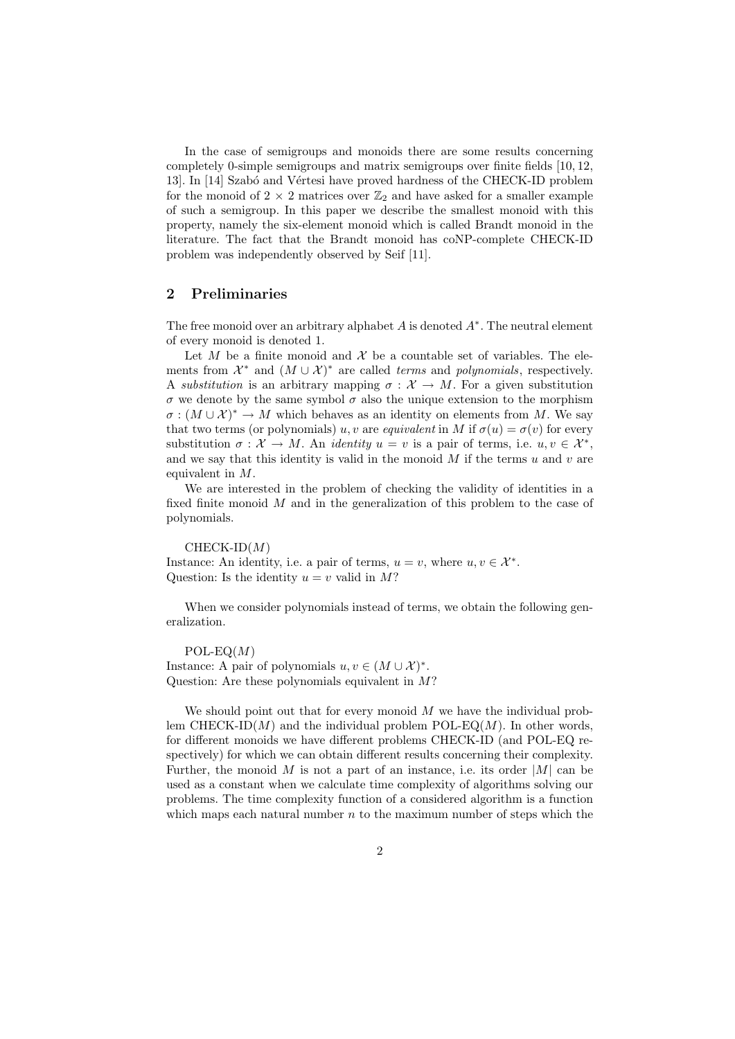In the case of semigroups and monoids there are some results concerning completely 0-simple semigroups and matrix semigroups over finite fields [10, 12, 13]. In [14] Szabó and Vértesi have proved hardness of the CHECK-ID problem for the monoid of 2  $\times$  2 matrices over  $\mathbb{Z}_2$  and have asked for a smaller example of such a semigroup. In this paper we describe the smallest monoid with this property, namely the six-element monoid which is called Brandt monoid in the literature. The fact that the Brandt monoid has coNP-complete CHECK-ID problem was independently observed by Seif [11].

## 2 Preliminaries

The free monoid over an arbitrary alphabet  $A$  is denoted  $A^*$ . The neutral element of every monoid is denoted 1.

Let  $M$  be a finite monoid and  $\mathcal X$  be a countable set of variables. The elements from  $\mathcal{X}^*$  and  $(M \cup \mathcal{X})^*$  are called *terms* and *polynomials*, respectively. A substitution is an arbitrary mapping  $\sigma : \mathcal{X} \to M$ . For a given substitution σ we denote by the same symbol σ also the unique extension to the morphism  $\sigma : (M \cup \mathcal{X})^* \to M$  which behaves as an identity on elements from M. We say that two terms (or polynomials) u, v are equivalent in M if  $\sigma(u) = \sigma(v)$  for every substitution  $\sigma : \mathcal{X} \to M$ . An *identity*  $u = v$  is a pair of terms, i.e.  $u, v \in \mathcal{X}^*$ , and we say that this identity is valid in the monoid  $M$  if the terms  $u$  and  $v$  are equivalent in M.

We are interested in the problem of checking the validity of identities in a fixed finite monoid M and in the generalization of this problem to the case of polynomials.

 $CHECK-ID(M)$ Instance: An identity, i.e. a pair of terms,  $u = v$ , where  $u, v \in \mathcal{X}^*$ . Question: Is the identity  $u = v$  valid in M?

When we consider polynomials instead of terms, we obtain the following generalization.

 $POL-EQ(M)$ Instance: A pair of polynomials  $u, v \in (M \cup \mathcal{X})^*$ . Question: Are these polynomials equivalent in  $M$ ?

We should point out that for every monoid  $M$  we have the individual problem CHECK-ID $(M)$  and the individual problem POL-EQ $(M)$ . In other words, for different monoids we have different problems CHECK-ID (and POL-EQ respectively) for which we can obtain different results concerning their complexity. Further, the monoid  $M$  is not a part of an instance, i.e. its order  $|M|$  can be used as a constant when we calculate time complexity of algorithms solving our problems. The time complexity function of a considered algorithm is a function which maps each natural number  $n$  to the maximum number of steps which the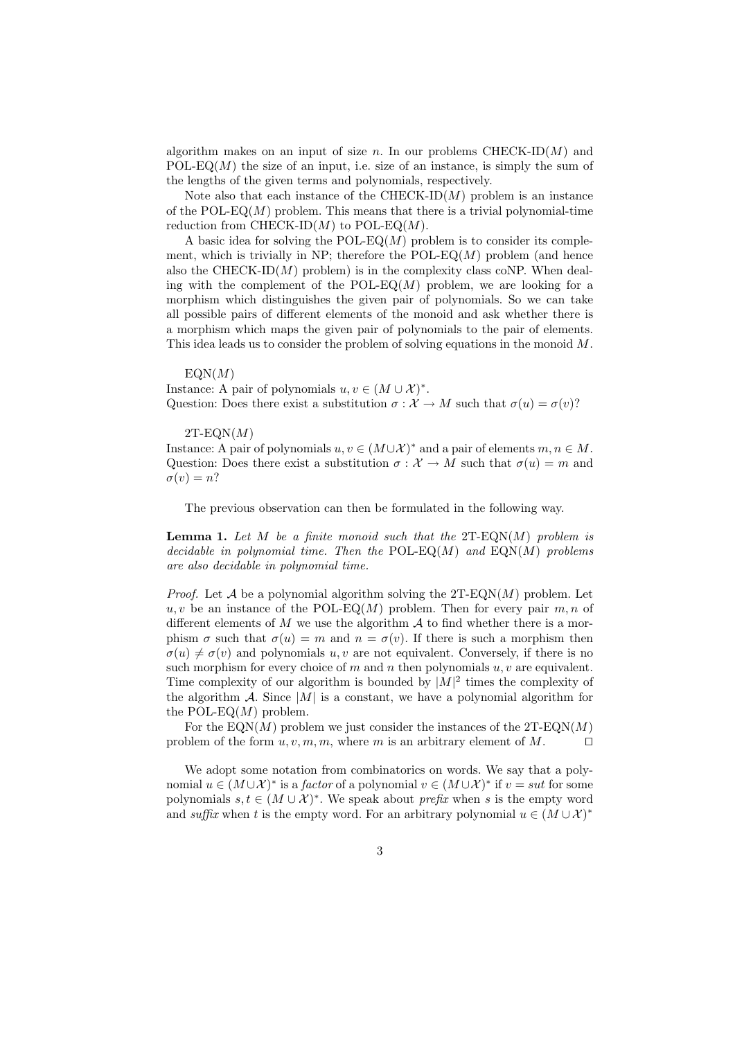algorithm makes on an input of size n. In our problems  $CHECK-ID(M)$  and POL-EQ(M) the size of an input, i.e. size of an instance, is simply the sum of the lengths of the given terms and polynomials, respectively.

Note also that each instance of the  $CHECK-ID(M)$  problem is an instance of the POL-EQ $(M)$  problem. This means that there is a trivial polynomial-time reduction from CHECK-ID $(M)$  to POL-EQ $(M)$ .

A basic idea for solving the POL-EQ $(M)$  problem is to consider its complement, which is trivially in NP; therefore the  $POL-EQ(M)$  problem (and hence also the CHECK-ID $(M)$  problem) is in the complexity class coNP. When dealing with the complement of the  $POL-EQ(M)$  problem, we are looking for a morphism which distinguishes the given pair of polynomials. So we can take all possible pairs of different elements of the monoid and ask whether there is a morphism which maps the given pair of polynomials to the pair of elements. This idea leads us to consider the problem of solving equations in the monoid M.

#### $EON(M)$

Instance: A pair of polynomials  $u, v \in (M \cup \mathcal{X})^*$ . Question: Does there exist a substitution  $\sigma : \mathcal{X} \to M$  such that  $\sigma(u) = \sigma(v)$ ?

 $2T$ -EQN $(M)$ 

Instance: A pair of polynomials  $u, v \in (M \cup \mathcal{X})^*$  and a pair of elements  $m, n \in M$ . Question: Does there exist a substitution  $\sigma : \mathcal{X} \to M$  such that  $\sigma(u) = m$  and  $\sigma(v) = n?$ 

The previous observation can then be formulated in the following way.

**Lemma 1.** Let M be a finite monoid such that the  $2T$ -EQN(M) problem is decidable in polynomial time. Then the  $POL-EQ(M)$  and  $EQN(M)$  problems are also decidable in polynomial time.

*Proof.* Let A be a polynomial algorithm solving the  $2T-EQN(M)$  problem. Let  $u, v$  be an instance of the POL-EQ(M) problem. Then for every pair  $m, n$  of different elements of  $M$  we use the algorithm  $A$  to find whether there is a morphism  $\sigma$  such that  $\sigma(u) = m$  and  $n = \sigma(v)$ . If there is such a morphism then  $\sigma(u) \neq \sigma(v)$  and polynomials u, v are not equivalent. Conversely, if there is no such morphism for every choice of m and n then polynomials  $u, v$  are equivalent. Time complexity of our algorithm is bounded by  $|M|^2$  times the complexity of the algorithm  $A$ . Since  $|M|$  is a constant, we have a polynomial algorithm for the POL-EQ $(M)$  problem.

For the  $EON(M)$  problem we just consider the instances of the  $2T-EON(M)$ problem of the form  $u, v, m, m$ , where m is an arbitrary element of M.  $\Box$ 

We adopt some notation from combinatorics on words. We say that a polynomial  $u \in (M \cup \mathcal{X})^*$  is a *factor* of a polynomial  $v \in (M \cup \mathcal{X})^*$  if  $v = sut$  for some polynomials  $s, t \in (M \cup \mathcal{X})^*$ . We speak about *prefix* when s is the empty word and suffix when t is the empty word. For an arbitrary polynomial  $u \in (M \cup \mathcal{X})^*$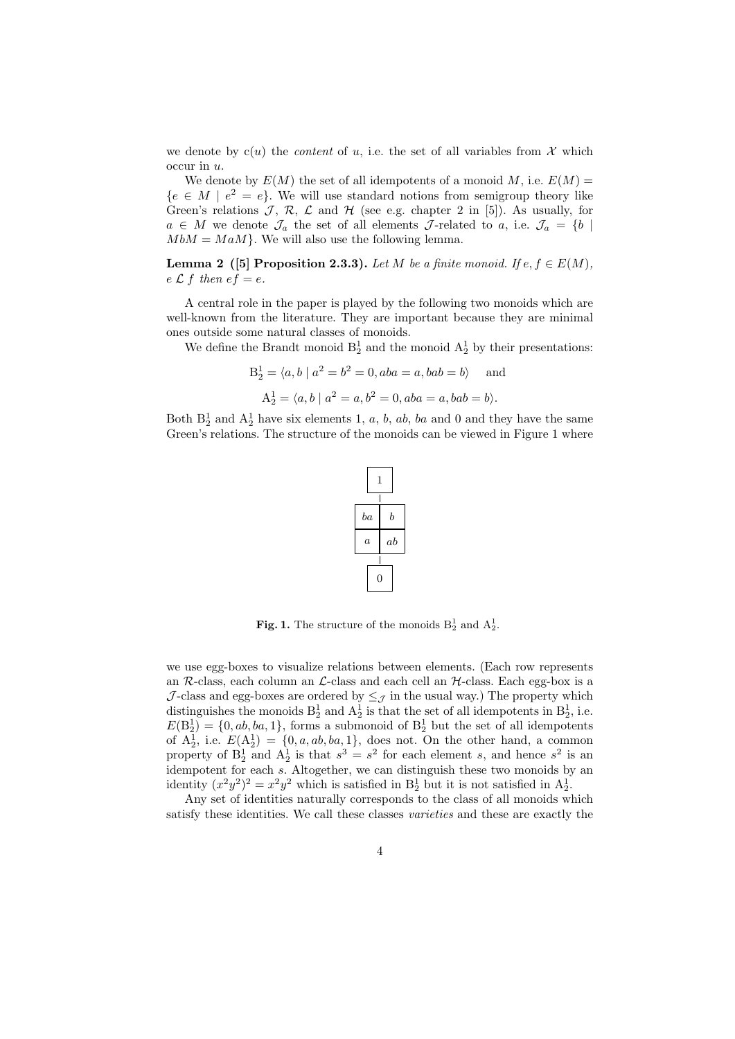we denote by  $c(u)$  the *content* of u, i.e. the set of all variables from X which occur in u.

We denote by  $E(M)$  the set of all idempotents of a monoid M, i.e.  $E(M)$  =  ${e \in M \mid e^2 = e}.$  We will use standard notions from semigroup theory like Green's relations  $\mathcal{J}, \mathcal{R}, \mathcal{L}$  and  $\mathcal{H}$  (see e.g. chapter 2 in [5]). As usually, for  $a \in M$  we denote  $\mathcal{J}_a$  the set of all elements  $\mathcal{J}\text{-related to }a$ , i.e.  $\mathcal{J}_a = \{b \mid a \in M\}$  $M bM = M aM$ . We will also use the following lemma.

**Lemma 2** ([5] Proposition 2.3.3). Let M be a finite monoid. If  $e, f \in E(M)$ ,  $e \mathcal{L} f$  then  $ef = e$ .

A central role in the paper is played by the following two monoids which are well-known from the literature. They are important because they are minimal ones outside some natural classes of monoids.

We define the Brandt monoid  $B_2^1$  and the monoid  $A_2^1$  by their presentations:

$$
B_2^1 = \langle a, b \mid a^2 = b^2 = 0, aba = a, bab = b \rangle
$$
 and  
 $A_2^1 = \langle a, b \mid a^2 = a, b^2 = 0, aba = a, bab = b \rangle.$ 

Both  $B_2^1$  and  $A_2^1$  have six elements 1, a, b, ab, ba and 0 and they have the same Green's relations. The structure of the monoids can be viewed in Figure 1 where



**Fig. 1.** The structure of the monoids  $B_2^1$  and  $A_2^1$ .

we use egg-boxes to visualize relations between elements. (Each row represents an  $R$ -class, each column an  $\mathcal{L}$ -class and each cell an  $\mathcal{H}$ -class. Each egg-box is a J-class and egg-boxes are ordered by  $\leq_{\mathcal{J}}$  in the usual way.) The property which distinguishes the monoids  $B_2^1$  and  $A_2^1$  is that the set of all idempotents in  $B_2^1$ , i.e.  $E(B_2^1) = \{0, ab, ba, 1\}$ , forms a submonoid of  $B_2^1$  but the set of all idempotents of  $A_2^1$ , i.e.  $E(A_2^1) = \{0, a, ab, ba, 1\}$ , does not. On the other hand, a common property of  $B_2^1$  and  $A_2^1$  is that  $s^3 = s^2$  for each element s, and hence  $s^2$  is an idempotent for each s. Altogether, we can distinguish these two monoids by an identity  $(x^2y^2)^2 = x^2y^2$  which is satisfied in  $B_2^1$  but it is not satisfied in  $A_2^1$ .

Any set of identities naturally corresponds to the class of all monoids which satisfy these identities. We call these classes varieties and these are exactly the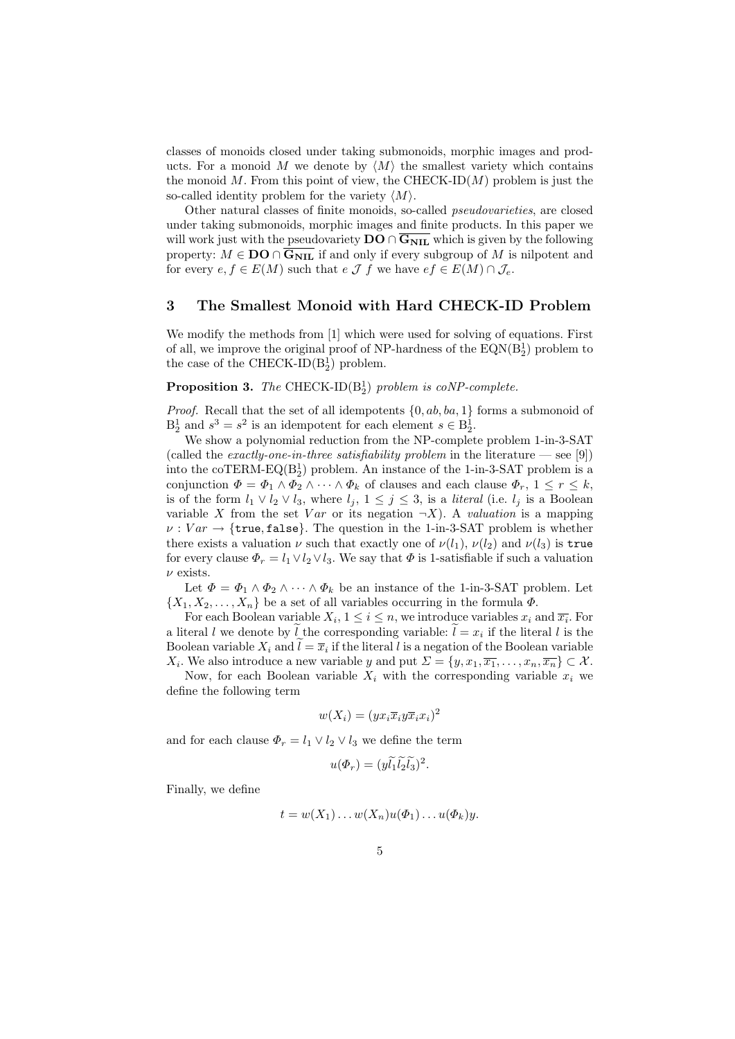classes of monoids closed under taking submonoids, morphic images and products. For a monoid M we denote by  $\langle M \rangle$  the smallest variety which contains the monoid  $M$ . From this point of view, the CHECK-ID $(M)$  problem is just the so-called identity problem for the variety  $\langle M \rangle$ .

Other natural classes of finite monoids, so-called pseudovarieties, are closed under taking submonoids, morphic images and finite products. In this paper we will work just with the pseudovariety  $\mathbf{DO} \cap \overline{\mathbf{G_{NIL}}}$  which is given by the following property:  $M \in \mathbf{DO} \cap \overline{G_{\text{NIL}}}$  if and only if every subgroup of M is nilpotent and for every  $e, f \in E(M)$  such that  $e \mathcal{J} f$  we have  $e f \in E(M) \cap \mathcal{J}_e$ .

### 3 The Smallest Monoid with Hard CHECK-ID Problem

We modify the methods from [1] which were used for solving of equations. First of all, we improve the original proof of NP-hardness of the  $EQN(B_2^1)$  problem to the case of the CHECK-ID $(B_2)$  problem.

# **Proposition 3.** The CHECK-ID( $B_2^1$ ) problem is coNP-complete.

*Proof.* Recall that the set of all idempotents  $\{0, ab, ba, 1\}$  forms a submonoid of  $B_2^1$  and  $s^3 = s^2$  is an idempotent for each element  $s \in B_2^1$ .

We show a polynomial reduction from the NP-complete problem 1-in-3-SAT (called the *exactly-one-in-three satisfiability problem* in the literature — see [9]) into the coTERM-EQ( $B_2^1$ ) problem. An instance of the 1-in-3-SAT problem is a conjunction  $\Phi = \Phi_1 \wedge \Phi_2 \wedge \cdots \wedge \Phi_k$  of clauses and each clause  $\Phi_r$ ,  $1 \leq r \leq k$ , is of the form  $l_1 \vee l_2 \vee l_3$ , where  $l_j$ ,  $1 \leq j \leq 3$ , is a *literal* (i.e.  $l_j$  is a Boolean variable X from the set Var or its negation  $\neg X$ ). A valuation is a mapping  $\nu : Var \to \{\text{true}, \text{false}\}.$  The question in the 1-in-3-SAT problem is whether there exists a valuation  $\nu$  such that exactly one of  $\nu(l_1)$ ,  $\nu(l_2)$  and  $\nu(l_3)$  is true for every clause  $\Phi_r = l_1 \vee l_2 \vee l_3$ . We say that  $\Phi$  is 1-satisfiable if such a valuation  $\nu$  exists.

Let  $\Phi = \Phi_1 \wedge \Phi_2 \wedge \cdots \wedge \Phi_k$  be an instance of the 1-in-3-SAT problem. Let  $\{X_1, X_2, \ldots, X_n\}$  be a set of all variables occurring in the formula  $\Phi$ .

For each Boolean variable  $X_i, 1 \leq i \leq n$ , we introduce variables  $x_i$  and  $\overline{x_i}$ . For a literal l we denote by l the corresponding variable:  $l = x_i$  if the literal l is the Boolean variable  $X_i$  and  $l = \overline{x}_i$  if the literal l is a negation of the Boolean variable  $X_i$ . We also introduce a new variable y and put  $\Sigma = \{y, x_1, \overline{x_1}, \dots, x_n, \overline{x_n}\} \subset \mathcal{X}$ .

Now, for each Boolean variable  $X_i$  with the corresponding variable  $x_i$  we define the following term

$$
w(X_i) = (yx_i\overline{x}_iy\overline{x}_ix_i)^2
$$

and for each clause  $\Phi_r = l_1 \vee l_2 \vee l_3$  we define the term

$$
u(\Phi_r) = (y\widetilde{l}_1\widetilde{l}_2\widetilde{l}_3)^2.
$$

Finally, we define

$$
t = w(X_1) \dots w(X_n)u(\Phi_1) \dots u(\Phi_k)y.
$$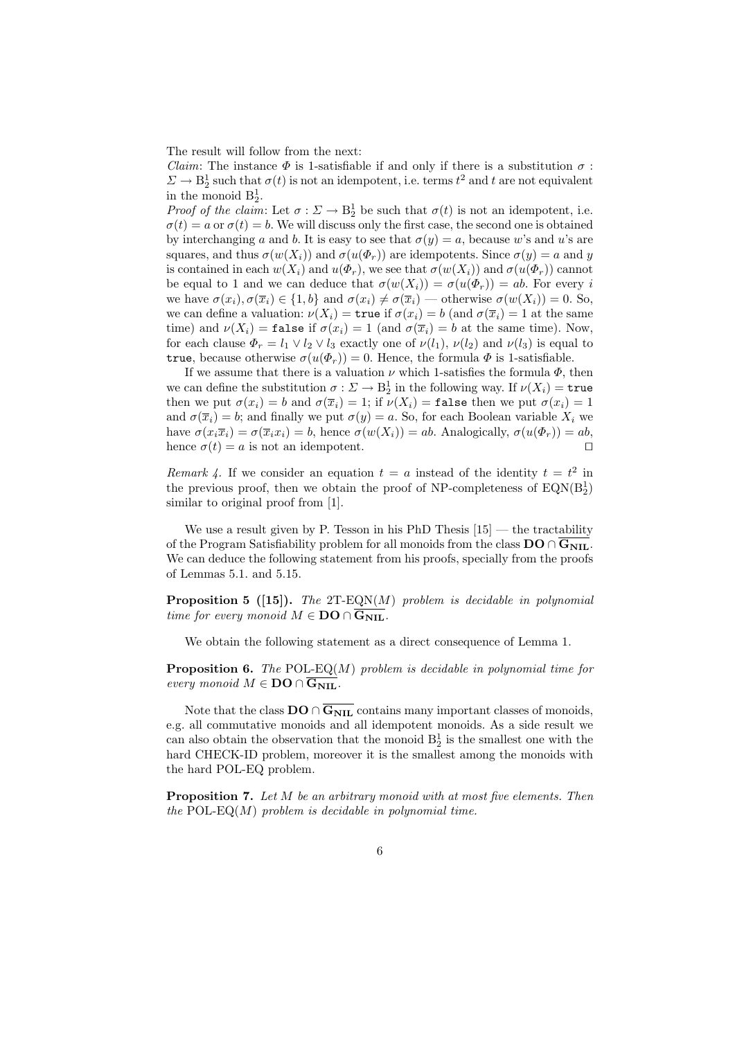The result will follow from the next:

*Claim:* The instance  $\Phi$  is 1-satisfiable if and only if there is a substitution  $\sigma$ :  $\Sigma \to \mathcal{B}_2^1$  such that  $\sigma(t)$  is not an idempotent, i.e. terms  $t^2$  and t are not equivalent in the monoid  $B_2^1$ .

Proof of the claim: Let  $\sigma : \Sigma \to \mathbb{B}^1_2$  be such that  $\sigma(t)$  is not an idempotent, i.e.  $\sigma(t) = a$  or  $\sigma(t) = b$ . We will discuss only the first case, the second one is obtained by interchanging a and b. It is easy to see that  $\sigma(y) = a$ , because w's and u's are squares, and thus  $\sigma(w(X_i))$  and  $\sigma(u(\Phi_r))$  are idempotents. Since  $\sigma(y) = a$  and y is contained in each  $w(X_i)$  and  $u(\Phi_r)$ , we see that  $\sigma(w(X_i))$  and  $\sigma(u(\Phi_r))$  cannot be equal to 1 and we can deduce that  $\sigma(w(X_i)) = \sigma(u(\Phi_r)) = ab$ . For every i we have  $\sigma(x_i), \sigma(\overline{x}_i) \in \{1, b\}$  and  $\sigma(x_i) \neq \sigma(\overline{x}_i)$  — otherwise  $\sigma(w(X_i)) = 0$ . So, we can define a valuation:  $\nu(X_i) = \text{true}$  if  $\sigma(x_i) = b$  (and  $\sigma(\overline{x}_i) = 1$  at the same time) and  $\nu(X_i) = \texttt{false}$  if  $\sigma(x_i) = 1$  (and  $\sigma(\overline{x}_i) = b$  at the same time). Now, for each clause  $\Phi_r = l_1 \vee l_2 \vee l_3$  exactly one of  $\nu(l_1)$ ,  $\nu(l_2)$  and  $\nu(l_3)$  is equal to true, because otherwise  $\sigma(u(\Phi_r)) = 0$ . Hence, the formula  $\Phi$  is 1-satisfiable.

If we assume that there is a valuation  $\nu$  which 1-satisfies the formula  $\Phi$ , then we can define the substitution  $\sigma : \Sigma \to \mathbf{B}^1_2$  in the following way. If  $\nu(X_i) = \mathtt{true}$ then we put  $\sigma(x_i) = b$  and  $\sigma(\overline{x}_i) = 1$ ; if  $\nu(X_i) = \texttt{false}$  then we put  $\sigma(x_i) = 1$ and  $\sigma(\bar{x}_i) = b$ ; and finally we put  $\sigma(y) = a$ . So, for each Boolean variable  $X_i$  we have  $\sigma(x_i\overline{x}_i) = \sigma(\overline{x}_ix_i) = b$ , hence  $\sigma(w(X_i)) = ab$ . Analogically,  $\sigma(u(\Phi_r)) = ab$ , hence  $\sigma(t) = a$  is not an idempotent.

Remark 4. If we consider an equation  $t = a$  instead of the identity  $t = t^2$  in the previous proof, then we obtain the proof of NP-completeness of  $EQN(B_2^1)$ similar to original proof from [1].

We use a result given by P. Tesson in his PhD Thesis  $[15]$  — the tractability of the Program Satisfiability problem for all monoids from the class  $\mathbf{DO} \cap \overline{\mathbf{G}_{\text{NIL}}}$ . We can deduce the following statement from his proofs, specially from the proofs of Lemmas 5.1. and 5.15.

**Proposition 5** ([15]). The  $2T$ -EQN(M) problem is decidable in polynomial time for every monoid  $M \in \mathbf{DO} \cap \overline{\mathbf{G}_{\textbf{NIL}}}$ .

We obtain the following statement as a direct consequence of Lemma 1.

**Proposition 6.** The POL-EQ(M) problem is decidable in polynomial time for every monoid  $M \in \mathbf{DO} \cap \overline{\mathbf{G_{NIL}}}$ .

Note that the class  $\mathbf{DO} \cap \overline{\mathbf{G_{NIL}}}$  contains many important classes of monoids, e.g. all commutative monoids and all idempotent monoids. As a side result we can also obtain the observation that the monoid  $B_2^1$  is the smallest one with the hard CHECK-ID problem, moreover it is the smallest among the monoids with the hard POL-EQ problem.

**Proposition 7.** Let  $M$  be an arbitrary monoid with at most five elements. Then the POL-EQ $(M)$  problem is decidable in polynomial time.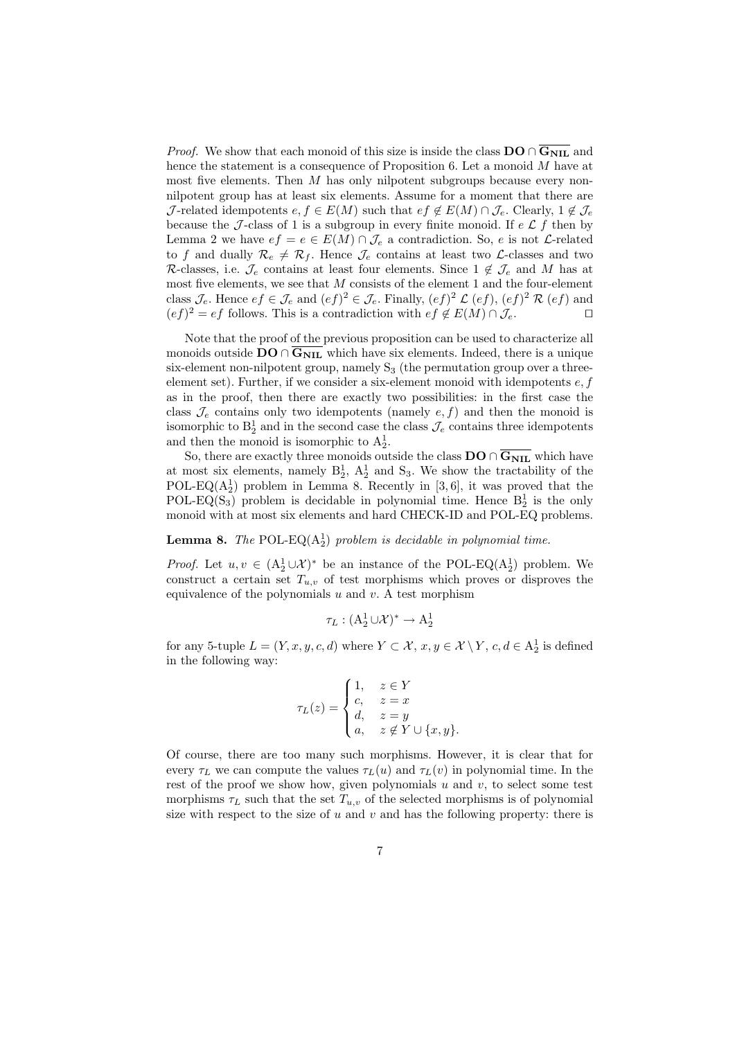*Proof.* We show that each monoid of this size is inside the class  $DO \cap G_{\text{NIL}}$  and hence the statement is a consequence of Proposition 6. Let a monoid M have at most five elements. Then  $M$  has only nilpotent subgroups because every nonnilpotent group has at least six elements. Assume for a moment that there are J-related idempotents  $e, f \in E(M)$  such that  $e f \notin E(M) \cap J_e$ . Clearly,  $1 \notin J_e$ because the J-class of 1 is a subgroup in every finite monoid. If  $e \mathcal{L} f$  then by Lemma 2 we have  $ef = e \in E(M) \cap \mathcal{J}_e$  a contradiction. So, e is not *L*-related to f and dually  $\mathcal{R}_e \neq \mathcal{R}_f$ . Hence  $\mathcal{J}_e$  contains at least two  $\mathcal{L}$ -classes and two R-classes, i.e.  $\mathcal{J}_e$  contains at least four elements. Since  $1 \notin \mathcal{J}_e$  and M has at most five elements, we see that  $M$  consists of the element 1 and the four-element class  $\mathcal{J}_e$ . Hence  $ef \in \mathcal{J}_e$  and  $(ef)^2 \in \mathcal{J}_e$ . Finally,  $(ef)^2 \mathcal{L}(ef)$ ,  $(ef)^2 \mathcal{R}(ef)$  and  $(ef)^2 = ef$  follows. This is a contradiction with  $ef \notin E(M) \cap \mathcal{J}_e$ .

Note that the proof of the previous proposition can be used to characterize all monoids outside  $\overline{DO} \cap \overline{G_{\text{NIL}}}$  which have six elements. Indeed, there is a unique six-element non-nilpotent group, namely  $S_3$  (the permutation group over a threeelement set). Further, if we consider a six-element monoid with idempotents  $e, f$ as in the proof, then there are exactly two possibilities: in the first case the class  $\mathcal{J}_e$  contains only two idempotents (namely  $e, f$ ) and then the monoid is isomorphic to  $B_2^1$  and in the second case the class  $\mathcal{J}_e$  contains three idempotents and then the monoid is isomorphic to  $A_2^1$ .

So, there are exactly three monoids outside the class  $\mathbf{DO} \cap \overline{\mathbf{G_{NII}}}$  which have at most six elements, namely  $B_2^1$ ,  $A_2^1$  and  $S_3$ . We show the tractability of the POL-EQ( $(A_2^1)$ ) problem in Lemma 8. Recently in [3,6], it was proved that the POL-EQ(S<sub>3</sub>) problem is decidable in polynomial time. Hence  $B_2^1$  is the only monoid with at most six elements and hard CHECK-ID and POL-EQ problems.

# **Lemma 8.** The POL-EQ( $A_2^1$ ) problem is decidable in polynomial time.

*Proof.* Let  $u, v \in (A_2^1 \cup \mathcal{X})^*$  be an instance of the POL-EQ( $A_2^1$ ) problem. We construct a certain set  $T_{u,v}$  of test morphisms which proves or disproves the equivalence of the polynomials  $u$  and  $v$ . A test morphism

$$
\tau_L : (\mathbf{A}_2^1 \cup \mathcal{X})^* \to \mathbf{A}_2^1
$$

for any 5-tuple  $L = (Y, x, y, c, d)$  where  $Y \subset \mathcal{X}, x, y \in \mathcal{X} \setminus Y, c, d \in A_2^1$  is defined in the following way:

$$
\tau_L(z) = \begin{cases}\n1, & z \in Y \\
c, & z = x \\
d, & z = y \\
a, & z \notin Y \cup \{x, y\}.\n\end{cases}
$$

Of course, there are too many such morphisms. However, it is clear that for every  $\tau_L$  we can compute the values  $\tau_L(u)$  and  $\tau_L(v)$  in polynomial time. In the rest of the proof we show how, given polynomials  $u$  and  $v$ , to select some test morphisms  $\tau_L$  such that the set  $T_{u,v}$  of the selected morphisms is of polynomial size with respect to the size of  $u$  and  $v$  and has the following property: there is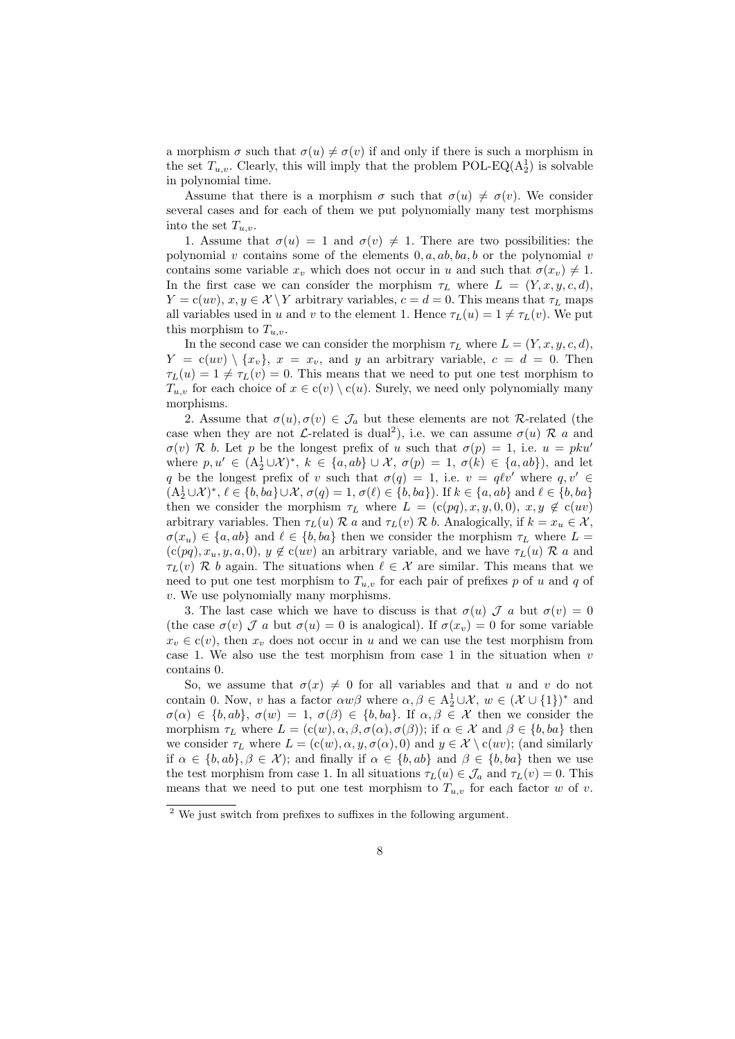a morphism  $\sigma$  such that  $\sigma(u) \neq \sigma(v)$  if and only if there is such a morphism in the set  $T_{u,v}$ . Clearly, this will imply that the problem POL-EQ( $A_2^1$ ) is solvable in polynomial time.

Assume that there is a morphism  $\sigma$  such that  $\sigma(u) \neq \sigma(v)$ . We consider several cases and for each of them we put polynomially many test morphisms into the set  $T_{u,v}$ .

1. Assume that  $\sigma(u) = 1$  and  $\sigma(v) \neq 1$ . There are two possibilities: the polynomial v contains some of the elements  $0, a, ab, ba, b$  or the polynomial v contains some variable  $x_v$  which does not occur in u and such that  $\sigma(x_v) \neq 1$ . In the first case we can consider the morphism  $\tau_L$  where  $L = (Y, x, y, c, d)$ ,  $Y = c(uv)$ ,  $x, y \in \mathcal{X} \backslash Y$  arbitrary variables,  $c = d = 0$ . This means that  $\tau_L$  maps all variables used in u and v to the element 1. Hence  $\tau_L(u) = 1 \neq \tau_L(v)$ . We put this morphism to  $T_{u,v}$ .

In the second case we can consider the morphism  $\tau_L$  where  $L = (Y, x, y, c, d)$ ,  $Y = c(uv) \setminus \{x_v\}, x = x_v$ , and y an arbitrary variable,  $c = d = 0$ . Then  $\tau_L(u) = 1 \neq \tau_L(v) = 0$ . This means that we need to put one test morphism to  $T_{u,v}$  for each choice of  $x \in c(v) \setminus c(u)$ . Surely, we need only polynomially many morphisms.

2. Assume that  $\sigma(u), \sigma(v) \in \mathcal{J}_a$  but these elements are not R-related (the case when they are not *L*-related is dual<sup>2</sup>), i.e. we can assume  $\sigma(u)$  R a and  $\sigma(v)$  R b. Let p be the longest prefix of u such that  $\sigma(p) = 1$ , i.e.  $u = pku'$ where  $p, u' \in (A_2^1 \cup \mathcal{X})^*, k \in \{a, ab\} \cup \mathcal{X}, \sigma(p) = 1, \sigma(k) \in \{a, ab\}),$  and let q be the longest prefix of v such that  $\sigma(q) = 1$ , i.e.  $v = q\ell v'$  where  $q, v' \in$  $(A_2^1 \cup \mathcal{X})^*, \ell \in \{b, ba\} \cup \mathcal{X}, \sigma(q) = 1, \sigma(\ell) \in \{b, ba\}).$  If  $k \in \{a, ab\}$  and  $\ell \in \{b, ba\}$ then we consider the morphism  $\tau_L$  where  $L = (c(pq), x, y, 0, 0), x, y \notin c(uv)$ arbitrary variables. Then  $\tau_L(u) \mathcal{R}$  a and  $\tau_L(v) \mathcal{R}$  b. Analogically, if  $k = x_u \in \mathcal{X}$ ,  $\sigma(x_u) \in \{a, ab\}$  and  $\ell \in \{b, ba\}$  then we consider the morphism  $\tau_L$  where  $L =$  $(c(pq), x_u, y, a, 0), y \notin c(uv)$  an arbitrary variable, and we have  $\tau_L(u) \mathcal{R}$  a and  $\tau_L(v)$  R b again. The situations when  $\ell \in \mathcal{X}$  are similar. This means that we need to put one test morphism to  $T_{u,v}$  for each pair of prefixes p of u and q of v. We use polynomially many morphisms.

3. The last case which we have to discuss is that  $\sigma(u)$   $\mathcal{J}$  a but  $\sigma(v) = 0$ (the case  $\sigma(v)$ )  $\mathcal{J}$  a but  $\sigma(u) = 0$  is analogical). If  $\sigma(x_v) = 0$  for some variable  $x_v \in c(v)$ , then  $x_v$  does not occur in u and we can use the test morphism from case 1. We also use the test morphism from case 1 in the situation when  $v$ contains 0.

So, we assume that  $\sigma(x) \neq 0$  for all variables and that u and v do not contain 0. Now, v has a factor  $\alpha w\beta$  where  $\alpha, \beta \in A_2^1 \cup \mathcal{X}, w \in (\mathcal{X} \cup \{1\})^*$  and  $\sigma(\alpha) \in \{b, ab\}, \ \sigma(w) = 1, \ \sigma(\beta) \in \{b, ba\}.$  If  $\alpha, \beta \in \mathcal{X}$  then we consider the morphism  $\tau_L$  where  $L = (c(w), \alpha, \beta, \sigma(\alpha), \sigma(\beta))$ ; if  $\alpha \in \mathcal{X}$  and  $\beta \in \{b, ba\}$  then we consider  $\tau_L$  where  $L = (c(w), \alpha, y, \sigma(\alpha), 0)$  and  $y \in \mathcal{X} \setminus c(uv)$ ; (and similarly if  $\alpha \in \{b, ab\}, \beta \in \mathcal{X}$ ; and finally if  $\alpha \in \{b, ab\}$  and  $\beta \in \{b, ba\}$  then we use the test morphism from case 1. In all situations  $\tau_L(u) \in \mathcal{J}_a$  and  $\tau_L(v) = 0$ . This means that we need to put one test morphism to  $T_{u,v}$  for each factor w of v.

<sup>&</sup>lt;sup>2</sup> We just switch from prefixes to suffixes in the following argument.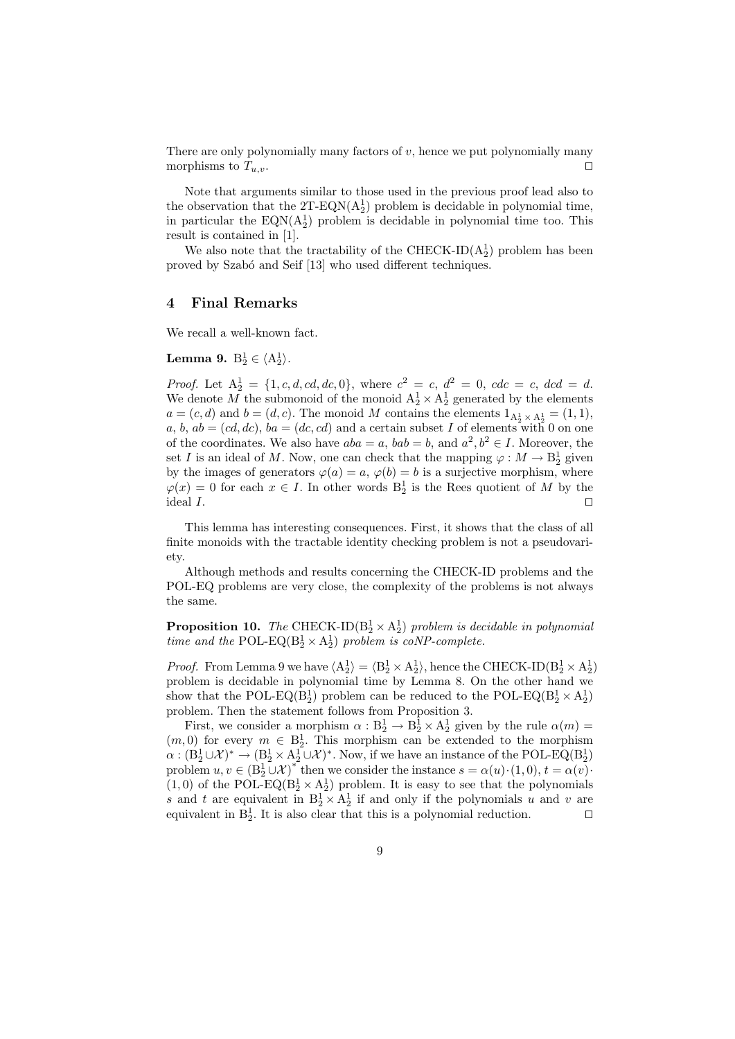There are only polynomially many factors of  $v$ , hence we put polynomially many morphisms to  $T_{u,v}$ .

Note that arguments similar to those used in the previous proof lead also to the observation that the  $2T$ -EQN( $A_2$ ) problem is decidable in polynomial time, in particular the  $EQN(A_2^1)$  problem is decidable in polynomial time too. This result is contained in [1].

We also note that the tractability of the CHECK-ID( $A_2$ ) problem has been proved by Szabó and Seif [13] who used different techniques.

### 4 Final Remarks

We recall a well-known fact.

# Lemma 9.  $B_2^1 \in \langle A_2^1 \rangle$ .

*Proof.* Let  $A_2^1 = \{1, c, d, cd, dc, 0\}$ , where  $c^2 = c$ ,  $d^2 = 0$ ,  $cdc = c$ ,  $dcd = d$ . We denote M the submonoid of the monoid  $A_2^1 \times A_2^1$  generated by the elements  $a = (c, d)$  and  $b = (d, c)$ . The monoid M contains the elements  $1_{A_2^1 \times A_2^1} = (1, 1)$ , a, b,  $ab = (cd, dc)$ ,  $ba = (dc, cd)$  and a certain subset I of elements with 0 on one of the coordinates. We also have  $aba = a$ ,  $bab = b$ , and  $a^2, b^2 \in I$ . Moreover, the set I is an ideal of M. Now, one can check that the mapping  $\varphi : M \to \mathbb{B}^1_2$  given by the images of generators  $\varphi(a) = a, \varphi(b) = b$  is a surjective morphism, where  $\varphi(x) = 0$  for each  $x \in I$ . In other words  $B_2^1$  is the Rees quotient of M by the ideal  $I$ .

This lemma has interesting consequences. First, it shows that the class of all finite monoids with the tractable identity checking problem is not a pseudovariety.

Although methods and results concerning the CHECK-ID problems and the POL-EQ problems are very close, the complexity of the problems is not always the same.

**Proposition 10.** The CHECK-ID( $B_2^1 \times A_2^1$ ) problem is decidable in polynomial time and the POL-EQ( $B_2^1 \times A_2^1$ ) problem is coNP-complete.

*Proof.* From Lemma 9 we have  $\langle A_2^1 \rangle = \langle B_2^1 \times A_2^1 \rangle$ , hence the CHECK-ID( $B_2^1 \times A_2^1$ ) problem is decidable in polynomial time by Lemma 8. On the other hand we show that the POL-EQ( $B_2^1$ ) problem can be reduced to the POL-EQ( $B_2^1 \times A_2^1$ ) problem. Then the statement follows from Proposition 3.

First, we consider a morphism  $\alpha : B_2^1 \to B_2^1 \times A_2^1$  given by the rule  $\alpha(m)$  =  $(m, 0)$  for every  $m \in B_2^1$ . This morphism can be extended to the morphism  $\alpha: (\mathrm{B}_2^1 \cup \mathcal{X})^* \to (\mathrm{B}_2^1 \times \mathrm{A}_2^1 \cup \mathcal{X})^*$ . Now, if we have an instance of the POL-EQ( $\mathrm{B}_2^1$ ) problem  $u, v \in (\dot{\mathbf{B}}_2^1 \dot{\cup} \mathcal{X})^*$  then we consider the instance  $s = \alpha(u) \cdot (1,0), t = \alpha(v) \cdot$  $(1,0)$  of the POL-EQ( $B_2^1 \times A_2^1$ ) problem. It is easy to see that the polynomials s and t are equivalent in  $B_2^1 \times A_2^1$  if and only if the polynomials u and v are equivalent in  $B_2^1$ . It is also clear that this is a polynomial reduction.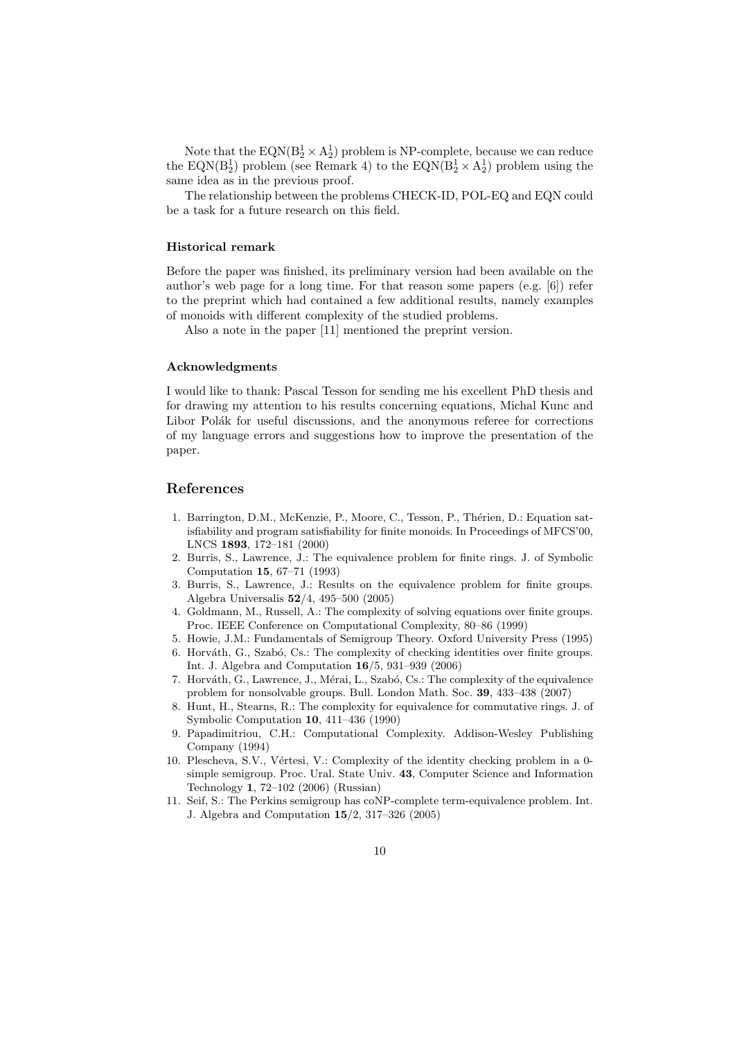Note that the  $EQN(B_2^1 \times A_2^1)$  problem is NP-complete, because we can reduce the EQN( $B_2^1$ ) problem (see Remark 4) to the EQN( $B_2^1 \times A_2^1$ ) problem using the same idea as in the previous proof.

The relationship between the problems CHECK-ID, POL-EQ and EQN could be a task for a future research on this field.

#### Historical remark

Before the paper was finished, its preliminary version had been available on the author's web page for a long time. For that reason some papers  $(e.g. [6])$  refer to the preprint which had contained a few additional results, namely examples of monoids with different complexity of the studied problems.

Also a note in the paper [11] mentioned the preprint version.

#### Acknowledgments

I would like to thank: Pascal Tesson for sending me his excellent PhD thesis and for drawing my attention to his results concerning equations, Michal Kunc and Libor Polák for useful discussions, and the anonymous referee for corrections of my language errors and suggestions how to improve the presentation of the paper.

### References

- 1. Barrington, D.M., McKenzie, P., Moore, C., Tesson, P., Thérien, D.: Equation satisfiability and program satisfiability for finite monoids. In Proceedings of MFCS'00, LNCS 1893, 172–181 (2000)
- 2. Burris, S., Lawrence, J.: The equivalence problem for finite rings. J. of Symbolic Computation 15, 67–71 (1993)
- 3. Burris, S., Lawrence, J.: Results on the equivalence problem for finite groups. Algebra Universalis 52/4, 495–500 (2005)
- 4. Goldmann, M., Russell, A.: The complexity of solving equations over finite groups. Proc. IEEE Conference on Computational Complexity, 80–86 (1999)
- 5. Howie, J.M.: Fundamentals of Semigroup Theory. Oxford University Press (1995)
- 6. Horváth, G., Szabó, Cs.: The complexity of checking identities over finite groups. Int. J. Algebra and Computation 16/5, 931–939 (2006)
- 7. Horváth, G., Lawrence, J., Mérai, L., Szabó, Cs.: The complexity of the equivalence problem for nonsolvable groups. Bull. London Math. Soc. 39, 433–438 (2007)
- 8. Hunt, H., Stearns, R.: The complexity for equivalence for commutative rings. J. of Symbolic Computation 10, 411–436 (1990)
- 9. Papadimitriou, C.H.: Computational Complexity. Addison-Wesley Publishing Company (1994)
- 10. Plescheva, S.V., Vértesi, V.: Complexity of the identity checking problem in a 0simple semigroup. Proc. Ural. State Univ. 43, Computer Science and Information Technology 1, 72–102 (2006) (Russian)
- 11. Seif, S.: The Perkins semigroup has coNP-complete term-equivalence problem. Int. J. Algebra and Computation 15/2, 317–326 (2005)